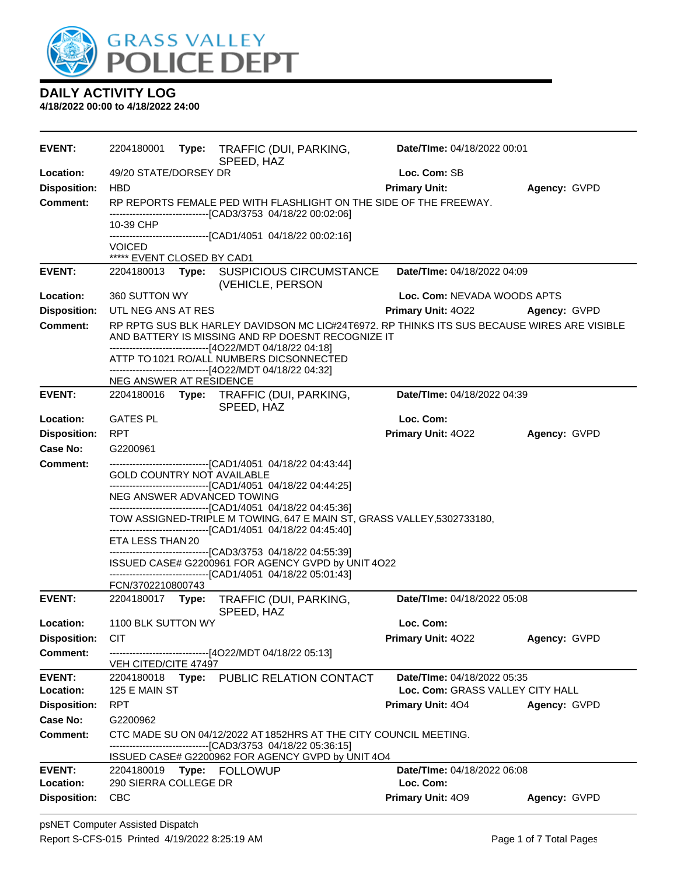

| <b>EVENT:</b>              | 2204180001                                     | Type: TRAFFIC (DUI, PARKING,<br>SPEED, HAZ                                                                                                                                                                                                                                                         | Date/TIme: 04/18/2022 00:01              |              |
|----------------------------|------------------------------------------------|----------------------------------------------------------------------------------------------------------------------------------------------------------------------------------------------------------------------------------------------------------------------------------------------------|------------------------------------------|--------------|
| Location:                  | 49/20 STATE/DORSEY DR                          |                                                                                                                                                                                                                                                                                                    | Loc. Com: SB                             |              |
| <b>Disposition:</b>        | <b>HBD</b>                                     |                                                                                                                                                                                                                                                                                                    | <b>Primary Unit:</b>                     | Agency: GVPD |
| <b>Comment:</b>            |                                                | RP REPORTS FEMALE PED WITH FLASHLIGHT ON THE SIDE OF THE FREEWAY.<br>-----------------------[CAD3/3753_04/18/22_00:02:06]                                                                                                                                                                          |                                          |              |
|                            | 10-39 CHP                                      |                                                                                                                                                                                                                                                                                                    |                                          |              |
|                            | <b>VOICED</b>                                  | -------------------------------[CAD1/4051 04/18/22 00:02:16]                                                                                                                                                                                                                                       |                                          |              |
|                            | ***** EVENT CLOSED BY CAD1                     |                                                                                                                                                                                                                                                                                                    |                                          |              |
| <b>EVENT:</b>              | 2204180013                                     | Type: SUSPICIOUS CIRCUMSTANCE<br>(VEHICLE, PERSON                                                                                                                                                                                                                                                  | Date/TIme: 04/18/2022 04:09              |              |
| Location:                  | 360 SUTTON WY                                  |                                                                                                                                                                                                                                                                                                    | Loc. Com: NEVADA WOODS APTS              |              |
| <b>Disposition:</b>        | UTL NEG ANS AT RES                             |                                                                                                                                                                                                                                                                                                    | <b>Primary Unit: 4022</b>                | Agency: GVPD |
| <b>Comment:</b>            |                                                | RP RPTG SUS BLK HARLEY DAVIDSON MC LIC#24T6972. RP THINKS ITS SUS BECAUSE WIRES ARE VISIBLE<br>AND BATTERY IS MISSING AND RP DOESNT RECOGNIZE IT<br>-------------------------------[4O22/MDT 04/18/22 04:18]<br>ATTP TO 1021 RO/ALL NUMBERS DICSONNECTED                                           |                                          |              |
|                            | NEG ANSWER AT RESIDENCE                        | -------------------------[4O22/MDT 04/18/22 04:32]                                                                                                                                                                                                                                                 |                                          |              |
| <b>EVENT:</b>              |                                                | 2204180016 Type: TRAFFIC (DUI, PARKING,<br>SPEED, HAZ                                                                                                                                                                                                                                              | Date/TIme: 04/18/2022 04:39              |              |
| Location:                  | <b>GATES PL</b>                                |                                                                                                                                                                                                                                                                                                    | Loc. Com:                                |              |
| <b>Disposition:</b>        | <b>RPT</b>                                     |                                                                                                                                                                                                                                                                                                    | Primary Unit: 4022                       | Agency: GVPD |
| Case No:                   | G2200961                                       |                                                                                                                                                                                                                                                                                                    |                                          |              |
| <b>Comment:</b>            |                                                | ------------------------------[CAD1/4051 04/18/22 04:43:44]                                                                                                                                                                                                                                        |                                          |              |
|                            | GOLD COUNTRY NOT AVAILABLE<br>ETA LESS THAN 20 | ------------------------------[CAD1/4051_04/18/22 04:44:25]<br>NEG ANSWER ADVANCED TOWING<br>------------------------------[CAD1/4051 04/18/22 04:45:36]<br>TOW ASSIGNED-TRIPLE M TOWING, 647 E MAIN ST, GRASS VALLEY, 5302733180,<br>-------------------------------[CAD1/4051 04/18/22 04:45:40] |                                          |              |
|                            | FCN/3702210800743                              | -------------------------[CAD3/3753_04/18/22_04:55:39]<br>ISSUED CASE# G2200961 FOR AGENCY GVPD by UNIT 4O22<br>------------------------------[CAD1/4051 04/18/22 05:01:43]                                                                                                                        |                                          |              |
| <b>EVENT:</b>              |                                                | 2204180017 Type: TRAFFIC (DUI, PARKING,<br>SPEED, HAZ                                                                                                                                                                                                                                              | Date/TIme: 04/18/2022 05:08              |              |
| Location:                  | 1100 BLK SUTTON WY                             |                                                                                                                                                                                                                                                                                                    | Loc. Com:                                |              |
| <b>Disposition:</b>        | <b>CIT</b>                                     |                                                                                                                                                                                                                                                                                                    | Primary Unit: 4022                       | Agency: GVPD |
| <b>Comment:</b>            |                                                | -------------------------------[4O22/MDT 04/18/22 05:13]                                                                                                                                                                                                                                           |                                          |              |
| <b>EVENT:</b>              | VEH CITED/CITE 47497                           |                                                                                                                                                                                                                                                                                                    | Date/TIme: 04/18/2022 05:35              |              |
| Location:                  | 125 E MAIN ST                                  | 2204180018 Type: PUBLIC RELATION CONTACT                                                                                                                                                                                                                                                           | Loc. Com: GRASS VALLEY CITY HALL         |              |
| <b>Disposition:</b>        | <b>RPT</b>                                     |                                                                                                                                                                                                                                                                                                    | <b>Primary Unit: 404</b>                 | Agency: GVPD |
| <b>Case No:</b>            | G2200962                                       |                                                                                                                                                                                                                                                                                                    |                                          |              |
| <b>Comment:</b>            |                                                | CTC MADE SU ON 04/12/2022 AT 1852HRS AT THE CITY COUNCIL MEETING.<br>-----------------------[CAD3/3753_04/18/22_05:36:15]                                                                                                                                                                          |                                          |              |
|                            |                                                | ISSUED CASE# G2200962 FOR AGENCY GVPD by UNIT 4O4                                                                                                                                                                                                                                                  |                                          |              |
| <b>EVENT:</b><br>Location: | 290 SIERRA COLLEGE DR                          | 2204180019 Type: FOLLOWUP                                                                                                                                                                                                                                                                          | Date/TIme: 04/18/2022 06:08<br>Loc. Com: |              |
| <b>Disposition:</b>        | <b>CBC</b>                                     |                                                                                                                                                                                                                                                                                                    | Primary Unit: 409                        | Agency: GVPD |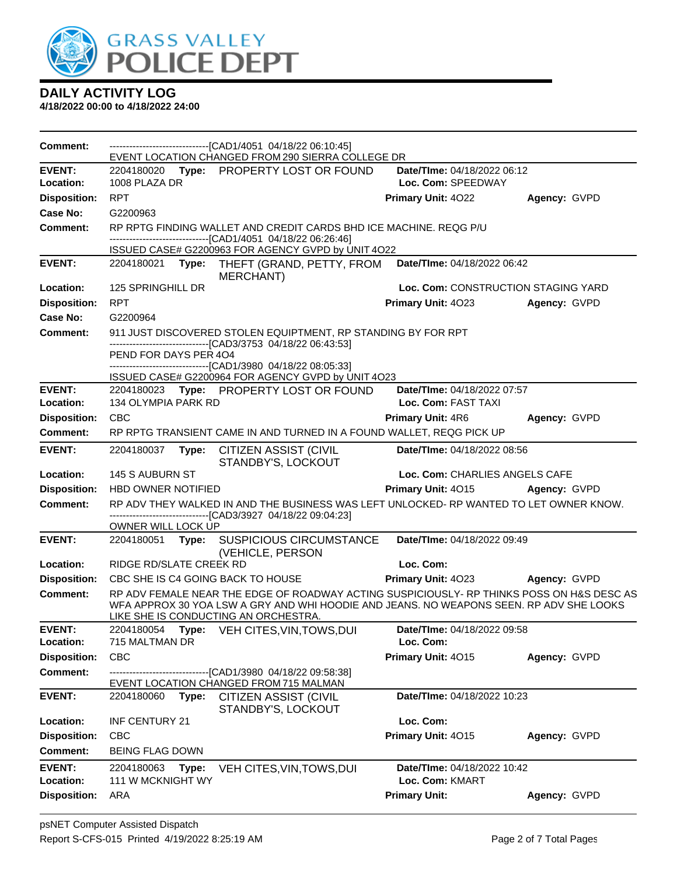

| Comment:                   |                           |       | ---------------------------------[CAD1/4051 04/18/22 06:10:45]<br>EVENT LOCATION CHANGED FROM 290 SIERRA COLLEGE DR                                                                  |                                                    |              |
|----------------------------|---------------------------|-------|--------------------------------------------------------------------------------------------------------------------------------------------------------------------------------------|----------------------------------------------------|--------------|
| <b>EVENT:</b>              |                           |       | 2204180020 Type: PROPERTY LOST OR FOUND                                                                                                                                              | Date/TIme: 04/18/2022 06:12                        |              |
| Location:                  | 1008 PLAZA DR             |       |                                                                                                                                                                                      | Loc. Com: SPEEDWAY                                 |              |
| <b>Disposition:</b>        | <b>RPT</b>                |       |                                                                                                                                                                                      | Primary Unit: 4022                                 | Agency: GVPD |
| Case No:                   | G2200963                  |       |                                                                                                                                                                                      |                                                    |              |
| <b>Comment:</b>            |                           |       | RP RPTG FINDING WALLET AND CREDIT CARDS BHD ICE MACHINE. REQG P/U<br>-------------------------------[CAD1/4051 04/18/22 06:26:46]                                                    |                                                    |              |
|                            |                           |       | ISSUED CASE# G2200963 FOR AGENCY GVPD by UNIT 4O22                                                                                                                                   |                                                    |              |
| <b>EVENT:</b>              |                           |       | 2204180021 Type: THEFT (GRAND, PETTY, FROM<br><b>MERCHANT)</b>                                                                                                                       | Date/TIme: 04/18/2022 06:42                        |              |
| Location:                  | 125 SPRINGHILL DR         |       |                                                                                                                                                                                      | Loc. Com: CONSTRUCTION STAGING YARD                |              |
| <b>Disposition:</b>        | <b>RPT</b>                |       |                                                                                                                                                                                      | Primary Unit: 4023                                 | Agency: GVPD |
| Case No:                   | G2200964                  |       |                                                                                                                                                                                      |                                                    |              |
| <b>Comment:</b>            |                           |       | 911 JUST DISCOVERED STOLEN EQUIPTMENT, RP STANDING BY FOR RPT<br>-------------------------------[CAD3/3753 04/18/22 06:43:53]                                                        |                                                    |              |
|                            | PEND FOR DAYS PER 404     |       |                                                                                                                                                                                      |                                                    |              |
|                            |                           |       | ---------------------------------[CAD1/3980 04/18/22 08:05:33]                                                                                                                       |                                                    |              |
|                            |                           |       | ISSUED CASE# G2200964 FOR AGENCY GVPD by UNIT 4O23                                                                                                                                   |                                                    |              |
| <b>EVENT:</b><br>Location: | 134 OLYMPIA PARK RD       |       | 2204180023 Type: PROPERTY LOST OR FOUND                                                                                                                                              | Date/TIme: 04/18/2022 07:57<br>Loc. Com: FAST TAXI |              |
| <b>Disposition:</b>        | <b>CBC</b>                |       |                                                                                                                                                                                      | <b>Primary Unit: 4R6</b>                           | Agency: GVPD |
| <b>Comment:</b>            |                           |       | RP RPTG TRANSIENT CAME IN AND TURNED IN A FOUND WALLET, REQG PICK UP                                                                                                                 |                                                    |              |
|                            |                           |       |                                                                                                                                                                                      |                                                    |              |
| <b>EVENT:</b>              | 2204180037                | Type: | CITIZEN ASSIST (CIVIL<br>STANDBY'S, LOCKOUT                                                                                                                                          | Date/TIme: 04/18/2022 08:56                        |              |
| Location:                  | 145 S AUBURN ST           |       |                                                                                                                                                                                      | Loc. Com: CHARLIES ANGELS CAFE                     |              |
| <b>Disposition:</b>        | <b>HBD OWNER NOTIFIED</b> |       |                                                                                                                                                                                      | Primary Unit: 4015 Agency: GVPD                    |              |
| <b>Comment:</b>            |                           |       | RP ADV THEY WALKED IN AND THE BUSINESS WAS LEFT UNLOCKED- RP WANTED TO LET OWNER KNOW.                                                                                               |                                                    |              |
|                            | OWNER WILL LOCK UP        |       | -------------------------------[CAD3/3927 04/18/22 09:04:23]                                                                                                                         |                                                    |              |
| <b>EVENT:</b>              | 2204180051 Type:          |       | <b>SUSPICIOUS CIRCUMSTANCE</b><br>(VEHICLE, PERSON                                                                                                                                   | Date/TIme: 04/18/2022 09:49                        |              |
| Location:                  | RIDGE RD/SLATE CREEK RD   |       |                                                                                                                                                                                      | Loc. Com:                                          |              |
| <b>Disposition:</b>        |                           |       | CBC SHE IS C4 GOING BACK TO HOUSE                                                                                                                                                    | Primary Unit: 4023                                 | Agency: GVPD |
| <b>Comment:</b>            |                           |       | RP ADV FEMALE NEAR THE EDGE OF ROADWAY ACTING SUSPICIOUSLY- RP THINKS POSS ON H&S DESC AS<br>WFA APPROX 30 YOA LSW A GRY AND WHI HOODIE AND JEANS. NO WEAPONS SEEN. RP ADV SHE LOOKS |                                                    |              |
| <b>EVENT:</b>              |                           |       | LIKE SHE IS CONDUCTING AN ORCHESTRA.<br>2204180054 Type: VEH CITES, VIN, TOWS, DUI                                                                                                   | Date/TIme: 04/18/2022 09:58                        |              |
| Location:                  | 715 MALTMAN DR            |       |                                                                                                                                                                                      | Loc. Com:                                          |              |
| <b>Disposition:</b>        | CBC                       |       |                                                                                                                                                                                      | Primary Unit: 4015                                 | Agency: GVPD |
| <b>Comment:</b>            |                           |       | --------------------------[CAD1/3980_04/18/22_09:58:38]                                                                                                                              |                                                    |              |
|                            |                           |       | EVENT LOCATION CHANGED FROM 715 MALMAN                                                                                                                                               |                                                    |              |
| <b>EVENT:</b>              | 2204180060                | Type: | <b>CITIZEN ASSIST (CIVIL</b><br>STANDBY'S, LOCKOUT                                                                                                                                   | Date/TIme: 04/18/2022 10:23                        |              |
| Location:                  | INF CENTURY 21            |       |                                                                                                                                                                                      | Loc. Com:                                          |              |
| <b>Disposition:</b>        | <b>CBC</b>                |       |                                                                                                                                                                                      | Primary Unit: 4015                                 | Agency: GVPD |
| Comment:                   | <b>BEING FLAG DOWN</b>    |       |                                                                                                                                                                                      |                                                    |              |
| <b>EVENT:</b>              | 2204180063                | Type: | VEH CITES, VIN, TOWS, DUI                                                                                                                                                            | Date/TIme: 04/18/2022 10:42                        |              |
| Location:                  | 111 W MCKNIGHT WY         |       |                                                                                                                                                                                      | Loc. Com: KMART                                    |              |
| <b>Disposition:</b>        | ARA                       |       |                                                                                                                                                                                      | <b>Primary Unit:</b>                               | Agency: GVPD |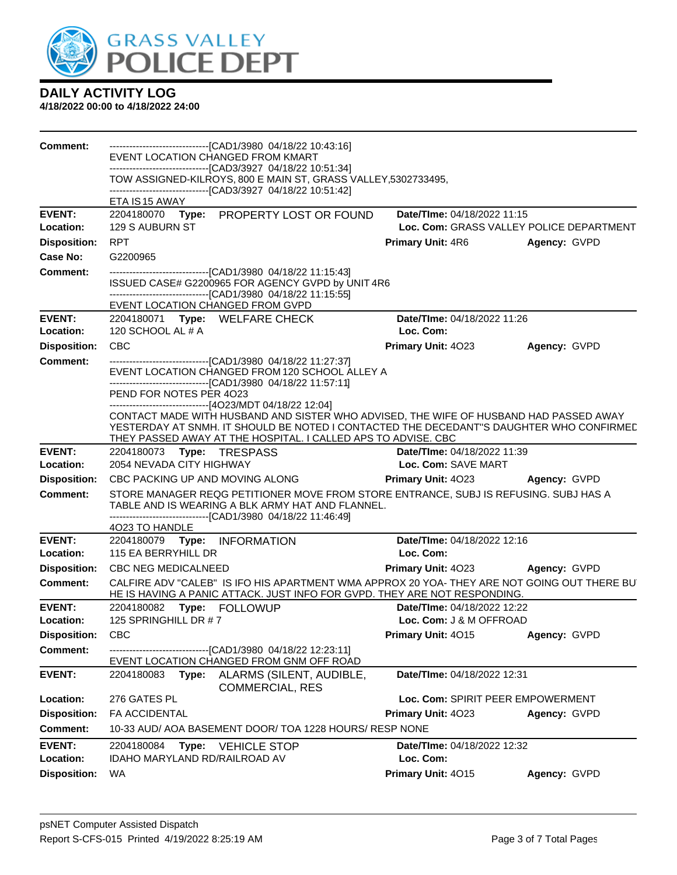

| Comment:                         | ---------------------------------[CAD1/3980 04/18/22 10:43:16]<br>EVENT LOCATION CHANGED FROM KMART                                                                      |                                                                      |              |  |  |  |  |  |
|----------------------------------|--------------------------------------------------------------------------------------------------------------------------------------------------------------------------|----------------------------------------------------------------------|--------------|--|--|--|--|--|
|                                  | ----------------------------[CAD3/3927 04/18/22 10:51:34]                                                                                                                |                                                                      |              |  |  |  |  |  |
|                                  | TOW ASSIGNED-KILROYS, 800 E MAIN ST, GRASS VALLEY,5302733495,<br>-------------------------------[CAD3/3927 04/18/22 10:51:42]                                            |                                                                      |              |  |  |  |  |  |
|                                  | ETA IS 15 AWAY                                                                                                                                                           |                                                                      |              |  |  |  |  |  |
| <b>EVENT:</b>                    | 2204180070 Type: PROPERTY LOST OR FOUND                                                                                                                                  | Date/TIme: 04/18/2022 11:15                                          |              |  |  |  |  |  |
| Location:<br><b>Disposition:</b> | 129 S AUBURN ST<br><b>RPT</b>                                                                                                                                            | Loc. Com: GRASS VALLEY POLICE DEPARTMENT<br><b>Primary Unit: 4R6</b> | Agency: GVPD |  |  |  |  |  |
| Case No:                         | G2200965                                                                                                                                                                 |                                                                      |              |  |  |  |  |  |
| Comment:                         | -------------------------------[CAD1/3980_04/18/22 11:15:43]                                                                                                             |                                                                      |              |  |  |  |  |  |
|                                  | ISSUED CASE# G2200965 FOR AGENCY GVPD by UNIT 4R6<br>--------------------------------[CAD1/3980 04/18/22 11:15:55]                                                       |                                                                      |              |  |  |  |  |  |
|                                  | EVENT LOCATION CHANGED FROM GVPD                                                                                                                                         |                                                                      |              |  |  |  |  |  |
| <b>EVENT:</b>                    | 2204180071 Type: WELFARE CHECK                                                                                                                                           | Date/TIme: 04/18/2022 11:26                                          |              |  |  |  |  |  |
| Location:                        | 120 SCHOOL AL # A                                                                                                                                                        | Loc. Com:                                                            |              |  |  |  |  |  |
| <b>Disposition:</b>              | <b>CBC</b>                                                                                                                                                               | <b>Primary Unit: 4023</b>                                            | Agency: GVPD |  |  |  |  |  |
| <b>Comment:</b>                  | --------------------------------[CAD1/3980 04/18/22 11:27:37]<br>EVENT LOCATION CHANGED FROM 120 SCHOOL ALLEY A                                                          |                                                                      |              |  |  |  |  |  |
|                                  | -------------------------[CAD1/3980_04/18/22 11:57:11]                                                                                                                   |                                                                      |              |  |  |  |  |  |
|                                  | PEND FOR NOTES PER 4023<br>------------------------------[4O23/MDT 04/18/22 12:04]                                                                                       |                                                                      |              |  |  |  |  |  |
|                                  | CONTACT MADE WITH HUSBAND AND SISTER WHO ADVISED, THE WIFE OF HUSBAND HAD PASSED AWAY                                                                                    |                                                                      |              |  |  |  |  |  |
|                                  | YESTERDAY AT SNMH. IT SHOULD BE NOTED I CONTACTED THE DECEDANT"S DAUGHTER WHO CONFIRMED<br>THEY PASSED AWAY AT THE HOSPITAL. I CALLED APS TO ADVISE. CBC                 |                                                                      |              |  |  |  |  |  |
| <b>EVENT:</b>                    | 2204180073 Type: TRESPASS                                                                                                                                                | Date/Time: 04/18/2022 11:39                                          |              |  |  |  |  |  |
| Location:                        | 2054 NEVADA CITY HIGHWAY                                                                                                                                                 | Loc. Com: SAVE MART                                                  |              |  |  |  |  |  |
| <b>Disposition:</b>              | CBC PACKING UP AND MOVING ALONG                                                                                                                                          | <b>Primary Unit: 4023 Agency: GVPD</b>                               |              |  |  |  |  |  |
| <b>Comment:</b>                  | STORE MANAGER REQG PETITIONER MOVE FROM STORE ENTRANCE, SUBJ IS REFUSING. SUBJ HAS A<br>TABLE AND IS WEARING A BLK ARMY HAT AND FLANNEL.                                 |                                                                      |              |  |  |  |  |  |
|                                  | ------------------------------[CAD1/3980_04/18/22 11:46:49]                                                                                                              |                                                                      |              |  |  |  |  |  |
| <b>EVENT:</b>                    | 4023 TO HANDLE                                                                                                                                                           | Date/TIme: 04/18/2022 12:16                                          |              |  |  |  |  |  |
| Location:                        | 2204180079 Type: INFORMATION<br>115 EA BERRYHILL DR                                                                                                                      | Loc. Com:                                                            |              |  |  |  |  |  |
| <b>Disposition:</b>              | <b>CBC NEG MEDICALNEED</b>                                                                                                                                               | <b>Primary Unit: 4023</b>                                            | Agency: GVPD |  |  |  |  |  |
| <b>Comment:</b>                  | CALFIRE ADV "CALEB" IS IFO HIS APARTMENT WMA APPROX 20 YOA- THEY ARE NOT GOING OUT THERE BU<br>HE IS HAVING A PANIC ATTACK. JUST INFO FOR GVPD. THEY ARE NOT RESPONDING. |                                                                      |              |  |  |  |  |  |
| EVENT:                           | 2204180082 Type: FOLLOWUP                                                                                                                                                | <b>Date/Time: 04/18/2022 12:22</b>                                   |              |  |  |  |  |  |
| Location:                        | 125 SPRINGHILL DR #7                                                                                                                                                     | Loc. Com: J & M OFFROAD                                              |              |  |  |  |  |  |
| <b>Disposition:</b>              | CBC                                                                                                                                                                      | Primary Unit: 4015                                                   | Agency: GVPD |  |  |  |  |  |
| Comment:                         | ------------------------[CAD1/3980_04/18/22 12:23:11]<br>EVENT LOCATION CHANGED FROM GNM OFF ROAD                                                                        |                                                                      |              |  |  |  |  |  |
| <b>EVENT:</b>                    | 2204180083<br>Type:<br>ALARMS (SILENT, AUDIBLE,<br><b>COMMERCIAL, RES</b>                                                                                                | Date/TIme: 04/18/2022 12:31                                          |              |  |  |  |  |  |
| Location:                        | 276 GATES PL                                                                                                                                                             | Loc. Com: SPIRIT PEER EMPOWERMENT                                    |              |  |  |  |  |  |
| <b>Disposition:</b>              | FA ACCIDENTAL                                                                                                                                                            | Primary Unit: 4023                                                   | Agency: GVPD |  |  |  |  |  |
| <b>Comment:</b>                  | 10-33 AUD/ AOA BASEMENT DOOR/ TOA 1228 HOURS/ RESP NONE                                                                                                                  |                                                                      |              |  |  |  |  |  |
| <b>EVENT:</b><br>Location:       | 2204180084<br>Type:<br><b>VEHICLE STOP</b><br>IDAHO MARYLAND RD/RAILROAD AV                                                                                              | Date/TIme: 04/18/2022 12:32<br>Loc. Com:                             |              |  |  |  |  |  |
| <b>Disposition:</b>              | <b>WA</b>                                                                                                                                                                | Primary Unit: 4015                                                   | Agency: GVPD |  |  |  |  |  |
|                                  |                                                                                                                                                                          |                                                                      |              |  |  |  |  |  |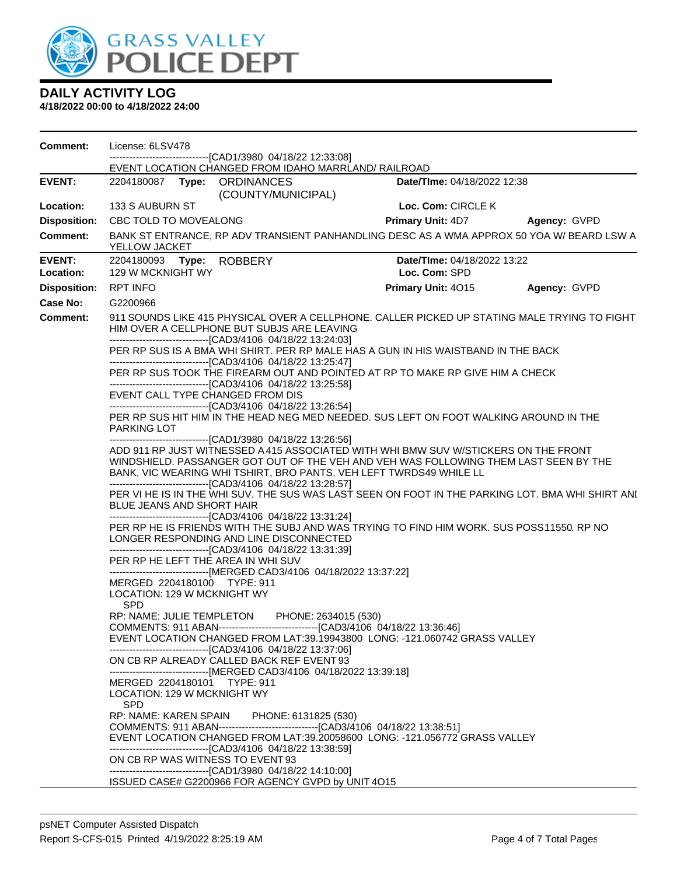

| Comment:                   | License: 6LSV478                                                                                                                                                                                                                                                                                                                                                                  |                                                                                                                                                                                                                                                                                                                                                                                                                                                                                                                                                                                   | -----------------------[CAD1/3980_04/18/22_12:33:08]                                                                                                                                                                      |                      |                                                                                                                                                                |                                                                                           |  |  |  |
|----------------------------|-----------------------------------------------------------------------------------------------------------------------------------------------------------------------------------------------------------------------------------------------------------------------------------------------------------------------------------------------------------------------------------|-----------------------------------------------------------------------------------------------------------------------------------------------------------------------------------------------------------------------------------------------------------------------------------------------------------------------------------------------------------------------------------------------------------------------------------------------------------------------------------------------------------------------------------------------------------------------------------|---------------------------------------------------------------------------------------------------------------------------------------------------------------------------------------------------------------------------|----------------------|----------------------------------------------------------------------------------------------------------------------------------------------------------------|-------------------------------------------------------------------------------------------|--|--|--|
|                            |                                                                                                                                                                                                                                                                                                                                                                                   |                                                                                                                                                                                                                                                                                                                                                                                                                                                                                                                                                                                   | EVENT LOCATION CHANGED FROM IDAHO MARRLAND/ RAILROAD                                                                                                                                                                      |                      |                                                                                                                                                                |                                                                                           |  |  |  |
| <b>EVENT:</b>              |                                                                                                                                                                                                                                                                                                                                                                                   |                                                                                                                                                                                                                                                                                                                                                                                                                                                                                                                                                                                   | 2204180087 Type: ORDINANCES<br>(COUNTY/MUNICIPAL)                                                                                                                                                                         |                      | <b>Date/Time: 04/18/2022 12:38</b>                                                                                                                             |                                                                                           |  |  |  |
| Location:                  | 133 S AUBURN ST                                                                                                                                                                                                                                                                                                                                                                   |                                                                                                                                                                                                                                                                                                                                                                                                                                                                                                                                                                                   |                                                                                                                                                                                                                           |                      | Loc. Com: CIRCLE K                                                                                                                                             |                                                                                           |  |  |  |
| <b>Disposition:</b>        | CBC TOLD TO MOVEALONG                                                                                                                                                                                                                                                                                                                                                             |                                                                                                                                                                                                                                                                                                                                                                                                                                                                                                                                                                                   |                                                                                                                                                                                                                           |                      |                                                                                                                                                                | Primary Unit: 4D7 Agency: GVPD                                                            |  |  |  |
| <b>Comment:</b>            | YELLOW JACKET                                                                                                                                                                                                                                                                                                                                                                     |                                                                                                                                                                                                                                                                                                                                                                                                                                                                                                                                                                                   |                                                                                                                                                                                                                           |                      |                                                                                                                                                                | BANK ST ENTRANCE, RP ADV TRANSIENT PANHANDLING DESC AS A WMA APPROX 50 YOA W/ BEARD LSW A |  |  |  |
| <b>EVENT:</b><br>Location: | 129 W MCKNIGHT WY                                                                                                                                                                                                                                                                                                                                                                 |                                                                                                                                                                                                                                                                                                                                                                                                                                                                                                                                                                                   | 2204180093 Type: ROBBERY                                                                                                                                                                                                  |                      | Date/TIme: 04/18/2022 13:22<br>Loc. Com: SPD                                                                                                                   |                                                                                           |  |  |  |
| <b>Disposition:</b>        | <b>RPT INFO</b>                                                                                                                                                                                                                                                                                                                                                                   |                                                                                                                                                                                                                                                                                                                                                                                                                                                                                                                                                                                   |                                                                                                                                                                                                                           |                      | Primary Unit: 4015                                                                                                                                             | Agency: GVPD                                                                              |  |  |  |
| Case No:                   | G2200966                                                                                                                                                                                                                                                                                                                                                                          |                                                                                                                                                                                                                                                                                                                                                                                                                                                                                                                                                                                   |                                                                                                                                                                                                                           |                      |                                                                                                                                                                |                                                                                           |  |  |  |
| <b>Comment:</b>            |                                                                                                                                                                                                                                                                                                                                                                                   | 911 SOUNDS LIKE 415 PHYSICAL OVER A CELLPHONE. CALLER PICKED UP STATING MALE TRYING TO FIGHT<br>HIM OVER A CELLPHONE BUT SUBJS ARE LEAVING                                                                                                                                                                                                                                                                                                                                                                                                                                        |                                                                                                                                                                                                                           |                      |                                                                                                                                                                |                                                                                           |  |  |  |
|                            |                                                                                                                                                                                                                                                                                                                                                                                   | -------------------------------[CAD3/4106 04/18/22 13:24:03]<br>PER RP SUS IS A BMA WHI SHIRT. PER RP MALE HAS A GUN IN HIS WAISTBAND IN THE BACK<br>-------------------------------[CAD3/4106 04/18/22 13:25:47]                                                                                                                                                                                                                                                                                                                                                                 |                                                                                                                                                                                                                           |                      |                                                                                                                                                                |                                                                                           |  |  |  |
|                            |                                                                                                                                                                                                                                                                                                                                                                                   | PER RP SUS TOOK THE FIREARM OUT AND POINTED AT RP TO MAKE RP GIVE HIM A CHECK<br>-------------------------------[CAD3/4106_04/18/22 13:25:58]                                                                                                                                                                                                                                                                                                                                                                                                                                     |                                                                                                                                                                                                                           |                      |                                                                                                                                                                |                                                                                           |  |  |  |
|                            |                                                                                                                                                                                                                                                                                                                                                                                   | EVENT CALL TYPE CHANGED FROM DIS                                                                                                                                                                                                                                                                                                                                                                                                                                                                                                                                                  |                                                                                                                                                                                                                           |                      |                                                                                                                                                                |                                                                                           |  |  |  |
|                            | --------------------------------[CAD3/4106 04/18/22 13:26:54]<br>PER RP SUS HIT HIM IN THE HEAD NEG MED NEEDED. SUS LEFT ON FOOT WALKING AROUND IN THE<br><b>PARKING LOT</b>                                                                                                                                                                                                      |                                                                                                                                                                                                                                                                                                                                                                                                                                                                                                                                                                                   |                                                                                                                                                                                                                           |                      |                                                                                                                                                                |                                                                                           |  |  |  |
|                            |                                                                                                                                                                                                                                                                                                                                                                                   | -------------------------------[CAD1/3980 04/18/22 13:26:56]<br>ADD 911 RP JUST WITNESSED A 415 ASSOCIATED WITH WHI BMW SUV W/STICKERS ON THE FRONT<br>WINDSHIELD. PASSANGER GOT OUT OF THE VEH AND VEH WAS FOLLOWING THEM LAST SEEN BY THE<br>BANK, VIC WEARING WHI TSHIRT, BRO PANTS. VEH LEFT TWRDS49 WHILE LL<br>-------------------------------[CAD3/4106 04/18/22 13:28:57]<br>PER VI HE IS IN THE WHI SUV. THE SUS WAS LAST SEEN ON FOOT IN THE PARKING LOT. BMA WHI SHIRT ANI<br>BLUE JEANS AND SHORT HAIR<br>------------------------------[CAD3/4106 04/18/22 13:31:24] |                                                                                                                                                                                                                           |                      |                                                                                                                                                                |                                                                                           |  |  |  |
|                            | PER RP HE IS FRIENDS WITH THE SUBJ AND WAS TRYING TO FIND HIM WORK. SUS POSS11550. RP NO<br>LONGER RESPONDING AND LINE DISCONNECTED<br>-------------------------------[CAD3/4106 04/18/22 13:31:39]<br>PER RP HE LEFT THE AREA IN WHI SUV                                                                                                                                         |                                                                                                                                                                                                                                                                                                                                                                                                                                                                                                                                                                                   |                                                                                                                                                                                                                           |                      |                                                                                                                                                                |                                                                                           |  |  |  |
|                            | LOCATION: 129 W MCKNIGHT WY<br><b>SPD</b>                                                                                                                                                                                                                                                                                                                                         |                                                                                                                                                                                                                                                                                                                                                                                                                                                                                                                                                                                   | ------------------------------[MERGED CAD3/4106_04/18/2022 13:37:22]<br>MERGED 2204180100 TYPE: 911                                                                                                                       |                      |                                                                                                                                                                |                                                                                           |  |  |  |
|                            | RP: NAME: JULIE TEMPLETON PHONE: 2634015 (530)<br>EVENT LOCATION CHANGED FROM LAT:39.19943800 LONG: -121.060742 GRASS VALLEY<br>------------------------[CAD3/4106_04/18/22_13:37:06]<br>ON CB RP ALREADY CALLED BACK REF EVENT 93<br>--------------------------------[MERGED CAD3/4106 04/18/2022 13:39:18]<br>MERGED 2204180101 TYPE: 911<br>LOCATION: 129 W MCKNIGHT WY<br>SPD |                                                                                                                                                                                                                                                                                                                                                                                                                                                                                                                                                                                   |                                                                                                                                                                                                                           |                      |                                                                                                                                                                |                                                                                           |  |  |  |
|                            | RP: NAME: KAREN SPAIN                                                                                                                                                                                                                                                                                                                                                             |                                                                                                                                                                                                                                                                                                                                                                                                                                                                                                                                                                                   | --------------------------------[CAD3/4106_04/18/22 13:38:59]<br>ON CB RP WAS WITNESS TO EVENT 93<br>---------------------------------[CAD1/3980 04/18/22 14:10:00]<br>ISSUED CASE# G2200966 FOR AGENCY GVPD by UNIT 4O15 | PHONE: 6131825 (530) | COMMENTS: 911 ABAN---------------------------------[CAD3/4106 04/18/22 13:38:51]<br>EVENT LOCATION CHANGED FROM LAT:39.20058600 LONG: -121.056772 GRASS VALLEY |                                                                                           |  |  |  |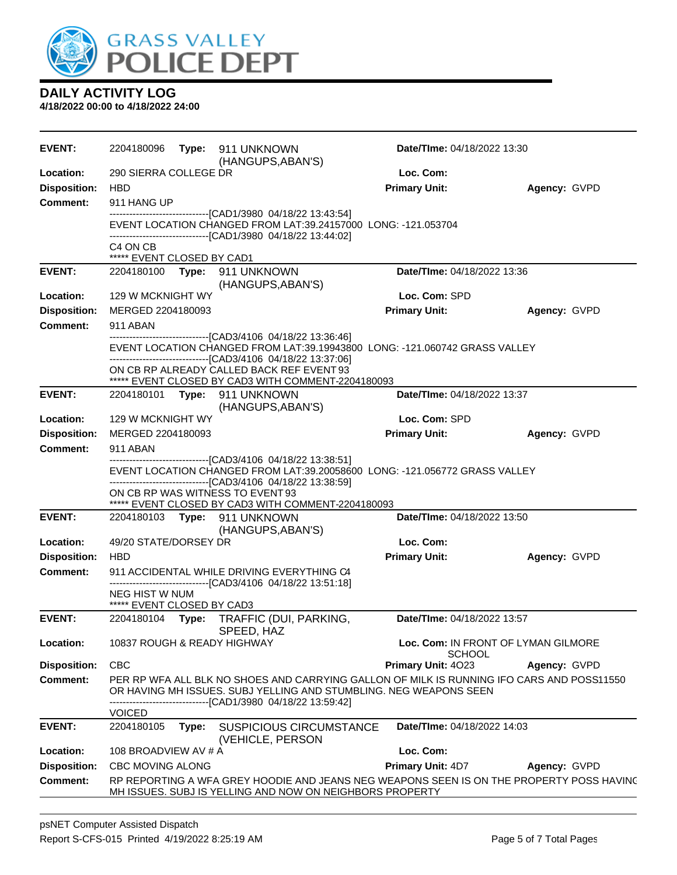

| Loc. Com:<br>Location:<br>290 SIERRA COLLEGE DR<br><b>Disposition:</b><br><b>Primary Unit:</b><br><b>HBD</b><br>Agency: GVPD<br>Comment:<br>911 HANG UP<br>------------------------------[CAD1/3980_04/18/22 13:43:54]<br>EVENT LOCATION CHANGED FROM LAT:39.24157000 LONG: -121.053704<br>-------------------------------[CAD1/3980_04/18/22_13:44:02]<br>C4 ON CB<br>***** EVENT CLOSED BY CAD1<br><b>EVENT:</b><br>Date/TIme: 04/18/2022 13:36<br>2204180100 Type: 911 UNKNOWN<br>(HANGUPS, ABAN'S)<br>129 W MCKNIGHT WY<br>Loc. Com: SPD<br>Location:<br><b>Disposition:</b><br><b>Primary Unit:</b><br>MERGED 2204180093<br>Agency: GVPD<br><b>Comment:</b><br>911 ABAN<br>------------------------[CAD3/4106 04/18/22 13:36:46]<br>EVENT LOCATION CHANGED FROM LAT:39.19943800 LONG: -121.060742 GRASS VALLEY<br>-------------------------------[CAD3/4106 04/18/22 13:37:06]<br>ON CB RP ALREADY CALLED BACK REF EVENT 93<br>***** EVENT CLOSED BY CAD3 WITH COMMENT-2204180093<br><b>EVENT:</b><br>Date/TIme: 04/18/2022 13:37<br>2204180101 Type: 911 UNKNOWN<br>(HANGUPS, ABAN'S)<br>Location:<br>Loc. Com: SPD<br>129 W MCKNIGHT WY<br><b>Disposition:</b><br><b>Primary Unit:</b><br>MERGED 2204180093<br>Agency: GVPD<br><b>Comment:</b><br>911 ABAN<br>-------------------------------[CAD3/4106_04/18/22 13:38:51]<br>EVENT LOCATION CHANGED FROM LAT:39.20058600 LONG: -121.056772 GRASS VALLEY<br>-------------------------------[CAD3/4106 04/18/22 13:38:59]<br>ON CB RP WAS WITNESS TO EVENT 93<br>***** EVENT CLOSED BY CAD3 WITH COMMENT-2204180093<br><b>EVENT:</b><br>Date/TIme: 04/18/2022 13:50<br>2204180103 Type: 911 UNKNOWN<br>(HANGUPS, ABAN'S)<br>Location:<br>49/20 STATE/DORSEY DR<br>Loc. Com:<br><b>Disposition:</b><br><b>Primary Unit:</b><br><b>HBD</b><br>Agency: GVPD<br><b>Comment:</b><br>911 ACCIDENTAL WHILE DRIVING EVERYTHING C4<br>-------------------------------[CAD3/4106 04/18/22 13:51:18]<br>NEG HIST W NUM<br>***** EVENT CLOSED BY CAD3<br>Date/TIme: 04/18/2022 13:57<br><b>EVENT:</b><br>TRAFFIC (DUI, PARKING,<br>2204180104 Type:<br>SPEED, HAZ<br>Location:<br>10837 ROUGH & READY HIGHWAY<br>Loc. Com: IN FRONT OF LYMAN GILMORE<br>SCHOOL<br><b>Disposition:</b><br><b>CBC</b><br>Primary Unit: 4023<br>Agency: GVPD<br><b>Comment:</b><br>PER RP WFA ALL BLK NO SHOES AND CARRYING GALLON OF MILK IS RUNNING IFO CARS AND POSS11550<br>OR HAVING MH ISSUES. SUBJ YELLING AND STUMBLING. NEG WEAPONS SEEN<br>-------------------------------[CAD1/3980_04/18/22_13:59:42]<br><b>VOICED</b><br><b>EVENT:</b><br>2204180105<br><b>SUSPICIOUS CIRCUMSTANCE</b><br>Date/TIme: 04/18/2022 14:03<br>Type:<br>(VEHICLE, PERSON<br>Loc. Com:<br>Location:<br>108 BROADVIEW AV # A<br><b>Disposition:</b><br><b>Primary Unit: 4D7</b><br>CBC MOVING ALONG<br>Agency: GVPD<br><b>Comment:</b><br>RP REPORTING A WFA GREY HOODIE AND JEANS NEG WEAPONS SEEN IS ON THE PROPERTY POSS HAVING<br>MH ISSUES. SUBJ IS YELLING AND NOW ON NEIGHBORS PROPERTY | <b>EVENT:</b> | 2204180096 | <b>Type:</b> 911 UNKNOWN<br>(HANGUPS, ABAN'S) | Date/TIme: 04/18/2022 13:30 |  |
|------------------------------------------------------------------------------------------------------------------------------------------------------------------------------------------------------------------------------------------------------------------------------------------------------------------------------------------------------------------------------------------------------------------------------------------------------------------------------------------------------------------------------------------------------------------------------------------------------------------------------------------------------------------------------------------------------------------------------------------------------------------------------------------------------------------------------------------------------------------------------------------------------------------------------------------------------------------------------------------------------------------------------------------------------------------------------------------------------------------------------------------------------------------------------------------------------------------------------------------------------------------------------------------------------------------------------------------------------------------------------------------------------------------------------------------------------------------------------------------------------------------------------------------------------------------------------------------------------------------------------------------------------------------------------------------------------------------------------------------------------------------------------------------------------------------------------------------------------------------------------------------------------------------------------------------------------------------------------------------------------------------------------------------------------------------------------------------------------------------------------------------------------------------------------------------------------------------------------------------------------------------------------------------------------------------------------------------------------------------------------------------------------------------------------------------------------------------------------------------------------------------------------------------------------------------------------------------------------------------------------------------------------------------------------------------------------------------------------------------------------------------------------------------------------------------------------------------------------------------------------------------------------------------------------------------------------------------------------------------------------------|---------------|------------|-----------------------------------------------|-----------------------------|--|
|                                                                                                                                                                                                                                                                                                                                                                                                                                                                                                                                                                                                                                                                                                                                                                                                                                                                                                                                                                                                                                                                                                                                                                                                                                                                                                                                                                                                                                                                                                                                                                                                                                                                                                                                                                                                                                                                                                                                                                                                                                                                                                                                                                                                                                                                                                                                                                                                                                                                                                                                                                                                                                                                                                                                                                                                                                                                                                                                                                                                            |               |            |                                               |                             |  |
|                                                                                                                                                                                                                                                                                                                                                                                                                                                                                                                                                                                                                                                                                                                                                                                                                                                                                                                                                                                                                                                                                                                                                                                                                                                                                                                                                                                                                                                                                                                                                                                                                                                                                                                                                                                                                                                                                                                                                                                                                                                                                                                                                                                                                                                                                                                                                                                                                                                                                                                                                                                                                                                                                                                                                                                                                                                                                                                                                                                                            |               |            |                                               |                             |  |
|                                                                                                                                                                                                                                                                                                                                                                                                                                                                                                                                                                                                                                                                                                                                                                                                                                                                                                                                                                                                                                                                                                                                                                                                                                                                                                                                                                                                                                                                                                                                                                                                                                                                                                                                                                                                                                                                                                                                                                                                                                                                                                                                                                                                                                                                                                                                                                                                                                                                                                                                                                                                                                                                                                                                                                                                                                                                                                                                                                                                            |               |            |                                               |                             |  |
|                                                                                                                                                                                                                                                                                                                                                                                                                                                                                                                                                                                                                                                                                                                                                                                                                                                                                                                                                                                                                                                                                                                                                                                                                                                                                                                                                                                                                                                                                                                                                                                                                                                                                                                                                                                                                                                                                                                                                                                                                                                                                                                                                                                                                                                                                                                                                                                                                                                                                                                                                                                                                                                                                                                                                                                                                                                                                                                                                                                                            |               |            |                                               |                             |  |
|                                                                                                                                                                                                                                                                                                                                                                                                                                                                                                                                                                                                                                                                                                                                                                                                                                                                                                                                                                                                                                                                                                                                                                                                                                                                                                                                                                                                                                                                                                                                                                                                                                                                                                                                                                                                                                                                                                                                                                                                                                                                                                                                                                                                                                                                                                                                                                                                                                                                                                                                                                                                                                                                                                                                                                                                                                                                                                                                                                                                            |               |            |                                               |                             |  |
|                                                                                                                                                                                                                                                                                                                                                                                                                                                                                                                                                                                                                                                                                                                                                                                                                                                                                                                                                                                                                                                                                                                                                                                                                                                                                                                                                                                                                                                                                                                                                                                                                                                                                                                                                                                                                                                                                                                                                                                                                                                                                                                                                                                                                                                                                                                                                                                                                                                                                                                                                                                                                                                                                                                                                                                                                                                                                                                                                                                                            |               |            |                                               |                             |  |
|                                                                                                                                                                                                                                                                                                                                                                                                                                                                                                                                                                                                                                                                                                                                                                                                                                                                                                                                                                                                                                                                                                                                                                                                                                                                                                                                                                                                                                                                                                                                                                                                                                                                                                                                                                                                                                                                                                                                                                                                                                                                                                                                                                                                                                                                                                                                                                                                                                                                                                                                                                                                                                                                                                                                                                                                                                                                                                                                                                                                            |               |            |                                               |                             |  |
|                                                                                                                                                                                                                                                                                                                                                                                                                                                                                                                                                                                                                                                                                                                                                                                                                                                                                                                                                                                                                                                                                                                                                                                                                                                                                                                                                                                                                                                                                                                                                                                                                                                                                                                                                                                                                                                                                                                                                                                                                                                                                                                                                                                                                                                                                                                                                                                                                                                                                                                                                                                                                                                                                                                                                                                                                                                                                                                                                                                                            |               |            |                                               |                             |  |
|                                                                                                                                                                                                                                                                                                                                                                                                                                                                                                                                                                                                                                                                                                                                                                                                                                                                                                                                                                                                                                                                                                                                                                                                                                                                                                                                                                                                                                                                                                                                                                                                                                                                                                                                                                                                                                                                                                                                                                                                                                                                                                                                                                                                                                                                                                                                                                                                                                                                                                                                                                                                                                                                                                                                                                                                                                                                                                                                                                                                            |               |            |                                               |                             |  |
|                                                                                                                                                                                                                                                                                                                                                                                                                                                                                                                                                                                                                                                                                                                                                                                                                                                                                                                                                                                                                                                                                                                                                                                                                                                                                                                                                                                                                                                                                                                                                                                                                                                                                                                                                                                                                                                                                                                                                                                                                                                                                                                                                                                                                                                                                                                                                                                                                                                                                                                                                                                                                                                                                                                                                                                                                                                                                                                                                                                                            |               |            |                                               |                             |  |
|                                                                                                                                                                                                                                                                                                                                                                                                                                                                                                                                                                                                                                                                                                                                                                                                                                                                                                                                                                                                                                                                                                                                                                                                                                                                                                                                                                                                                                                                                                                                                                                                                                                                                                                                                                                                                                                                                                                                                                                                                                                                                                                                                                                                                                                                                                                                                                                                                                                                                                                                                                                                                                                                                                                                                                                                                                                                                                                                                                                                            |               |            |                                               |                             |  |
|                                                                                                                                                                                                                                                                                                                                                                                                                                                                                                                                                                                                                                                                                                                                                                                                                                                                                                                                                                                                                                                                                                                                                                                                                                                                                                                                                                                                                                                                                                                                                                                                                                                                                                                                                                                                                                                                                                                                                                                                                                                                                                                                                                                                                                                                                                                                                                                                                                                                                                                                                                                                                                                                                                                                                                                                                                                                                                                                                                                                            |               |            |                                               |                             |  |
|                                                                                                                                                                                                                                                                                                                                                                                                                                                                                                                                                                                                                                                                                                                                                                                                                                                                                                                                                                                                                                                                                                                                                                                                                                                                                                                                                                                                                                                                                                                                                                                                                                                                                                                                                                                                                                                                                                                                                                                                                                                                                                                                                                                                                                                                                                                                                                                                                                                                                                                                                                                                                                                                                                                                                                                                                                                                                                                                                                                                            |               |            |                                               |                             |  |
|                                                                                                                                                                                                                                                                                                                                                                                                                                                                                                                                                                                                                                                                                                                                                                                                                                                                                                                                                                                                                                                                                                                                                                                                                                                                                                                                                                                                                                                                                                                                                                                                                                                                                                                                                                                                                                                                                                                                                                                                                                                                                                                                                                                                                                                                                                                                                                                                                                                                                                                                                                                                                                                                                                                                                                                                                                                                                                                                                                                                            |               |            |                                               |                             |  |
|                                                                                                                                                                                                                                                                                                                                                                                                                                                                                                                                                                                                                                                                                                                                                                                                                                                                                                                                                                                                                                                                                                                                                                                                                                                                                                                                                                                                                                                                                                                                                                                                                                                                                                                                                                                                                                                                                                                                                                                                                                                                                                                                                                                                                                                                                                                                                                                                                                                                                                                                                                                                                                                                                                                                                                                                                                                                                                                                                                                                            |               |            |                                               |                             |  |
|                                                                                                                                                                                                                                                                                                                                                                                                                                                                                                                                                                                                                                                                                                                                                                                                                                                                                                                                                                                                                                                                                                                                                                                                                                                                                                                                                                                                                                                                                                                                                                                                                                                                                                                                                                                                                                                                                                                                                                                                                                                                                                                                                                                                                                                                                                                                                                                                                                                                                                                                                                                                                                                                                                                                                                                                                                                                                                                                                                                                            |               |            |                                               |                             |  |
|                                                                                                                                                                                                                                                                                                                                                                                                                                                                                                                                                                                                                                                                                                                                                                                                                                                                                                                                                                                                                                                                                                                                                                                                                                                                                                                                                                                                                                                                                                                                                                                                                                                                                                                                                                                                                                                                                                                                                                                                                                                                                                                                                                                                                                                                                                                                                                                                                                                                                                                                                                                                                                                                                                                                                                                                                                                                                                                                                                                                            |               |            |                                               |                             |  |
|                                                                                                                                                                                                                                                                                                                                                                                                                                                                                                                                                                                                                                                                                                                                                                                                                                                                                                                                                                                                                                                                                                                                                                                                                                                                                                                                                                                                                                                                                                                                                                                                                                                                                                                                                                                                                                                                                                                                                                                                                                                                                                                                                                                                                                                                                                                                                                                                                                                                                                                                                                                                                                                                                                                                                                                                                                                                                                                                                                                                            |               |            |                                               |                             |  |
|                                                                                                                                                                                                                                                                                                                                                                                                                                                                                                                                                                                                                                                                                                                                                                                                                                                                                                                                                                                                                                                                                                                                                                                                                                                                                                                                                                                                                                                                                                                                                                                                                                                                                                                                                                                                                                                                                                                                                                                                                                                                                                                                                                                                                                                                                                                                                                                                                                                                                                                                                                                                                                                                                                                                                                                                                                                                                                                                                                                                            |               |            |                                               |                             |  |
|                                                                                                                                                                                                                                                                                                                                                                                                                                                                                                                                                                                                                                                                                                                                                                                                                                                                                                                                                                                                                                                                                                                                                                                                                                                                                                                                                                                                                                                                                                                                                                                                                                                                                                                                                                                                                                                                                                                                                                                                                                                                                                                                                                                                                                                                                                                                                                                                                                                                                                                                                                                                                                                                                                                                                                                                                                                                                                                                                                                                            |               |            |                                               |                             |  |
|                                                                                                                                                                                                                                                                                                                                                                                                                                                                                                                                                                                                                                                                                                                                                                                                                                                                                                                                                                                                                                                                                                                                                                                                                                                                                                                                                                                                                                                                                                                                                                                                                                                                                                                                                                                                                                                                                                                                                                                                                                                                                                                                                                                                                                                                                                                                                                                                                                                                                                                                                                                                                                                                                                                                                                                                                                                                                                                                                                                                            |               |            |                                               |                             |  |
|                                                                                                                                                                                                                                                                                                                                                                                                                                                                                                                                                                                                                                                                                                                                                                                                                                                                                                                                                                                                                                                                                                                                                                                                                                                                                                                                                                                                                                                                                                                                                                                                                                                                                                                                                                                                                                                                                                                                                                                                                                                                                                                                                                                                                                                                                                                                                                                                                                                                                                                                                                                                                                                                                                                                                                                                                                                                                                                                                                                                            |               |            |                                               |                             |  |
|                                                                                                                                                                                                                                                                                                                                                                                                                                                                                                                                                                                                                                                                                                                                                                                                                                                                                                                                                                                                                                                                                                                                                                                                                                                                                                                                                                                                                                                                                                                                                                                                                                                                                                                                                                                                                                                                                                                                                                                                                                                                                                                                                                                                                                                                                                                                                                                                                                                                                                                                                                                                                                                                                                                                                                                                                                                                                                                                                                                                            |               |            |                                               |                             |  |
|                                                                                                                                                                                                                                                                                                                                                                                                                                                                                                                                                                                                                                                                                                                                                                                                                                                                                                                                                                                                                                                                                                                                                                                                                                                                                                                                                                                                                                                                                                                                                                                                                                                                                                                                                                                                                                                                                                                                                                                                                                                                                                                                                                                                                                                                                                                                                                                                                                                                                                                                                                                                                                                                                                                                                                                                                                                                                                                                                                                                            |               |            |                                               |                             |  |
|                                                                                                                                                                                                                                                                                                                                                                                                                                                                                                                                                                                                                                                                                                                                                                                                                                                                                                                                                                                                                                                                                                                                                                                                                                                                                                                                                                                                                                                                                                                                                                                                                                                                                                                                                                                                                                                                                                                                                                                                                                                                                                                                                                                                                                                                                                                                                                                                                                                                                                                                                                                                                                                                                                                                                                                                                                                                                                                                                                                                            |               |            |                                               |                             |  |
|                                                                                                                                                                                                                                                                                                                                                                                                                                                                                                                                                                                                                                                                                                                                                                                                                                                                                                                                                                                                                                                                                                                                                                                                                                                                                                                                                                                                                                                                                                                                                                                                                                                                                                                                                                                                                                                                                                                                                                                                                                                                                                                                                                                                                                                                                                                                                                                                                                                                                                                                                                                                                                                                                                                                                                                                                                                                                                                                                                                                            |               |            |                                               |                             |  |
|                                                                                                                                                                                                                                                                                                                                                                                                                                                                                                                                                                                                                                                                                                                                                                                                                                                                                                                                                                                                                                                                                                                                                                                                                                                                                                                                                                                                                                                                                                                                                                                                                                                                                                                                                                                                                                                                                                                                                                                                                                                                                                                                                                                                                                                                                                                                                                                                                                                                                                                                                                                                                                                                                                                                                                                                                                                                                                                                                                                                            |               |            |                                               |                             |  |
|                                                                                                                                                                                                                                                                                                                                                                                                                                                                                                                                                                                                                                                                                                                                                                                                                                                                                                                                                                                                                                                                                                                                                                                                                                                                                                                                                                                                                                                                                                                                                                                                                                                                                                                                                                                                                                                                                                                                                                                                                                                                                                                                                                                                                                                                                                                                                                                                                                                                                                                                                                                                                                                                                                                                                                                                                                                                                                                                                                                                            |               |            |                                               |                             |  |
|                                                                                                                                                                                                                                                                                                                                                                                                                                                                                                                                                                                                                                                                                                                                                                                                                                                                                                                                                                                                                                                                                                                                                                                                                                                                                                                                                                                                                                                                                                                                                                                                                                                                                                                                                                                                                                                                                                                                                                                                                                                                                                                                                                                                                                                                                                                                                                                                                                                                                                                                                                                                                                                                                                                                                                                                                                                                                                                                                                                                            |               |            |                                               |                             |  |
|                                                                                                                                                                                                                                                                                                                                                                                                                                                                                                                                                                                                                                                                                                                                                                                                                                                                                                                                                                                                                                                                                                                                                                                                                                                                                                                                                                                                                                                                                                                                                                                                                                                                                                                                                                                                                                                                                                                                                                                                                                                                                                                                                                                                                                                                                                                                                                                                                                                                                                                                                                                                                                                                                                                                                                                                                                                                                                                                                                                                            |               |            |                                               |                             |  |
|                                                                                                                                                                                                                                                                                                                                                                                                                                                                                                                                                                                                                                                                                                                                                                                                                                                                                                                                                                                                                                                                                                                                                                                                                                                                                                                                                                                                                                                                                                                                                                                                                                                                                                                                                                                                                                                                                                                                                                                                                                                                                                                                                                                                                                                                                                                                                                                                                                                                                                                                                                                                                                                                                                                                                                                                                                                                                                                                                                                                            |               |            |                                               |                             |  |
|                                                                                                                                                                                                                                                                                                                                                                                                                                                                                                                                                                                                                                                                                                                                                                                                                                                                                                                                                                                                                                                                                                                                                                                                                                                                                                                                                                                                                                                                                                                                                                                                                                                                                                                                                                                                                                                                                                                                                                                                                                                                                                                                                                                                                                                                                                                                                                                                                                                                                                                                                                                                                                                                                                                                                                                                                                                                                                                                                                                                            |               |            |                                               |                             |  |
|                                                                                                                                                                                                                                                                                                                                                                                                                                                                                                                                                                                                                                                                                                                                                                                                                                                                                                                                                                                                                                                                                                                                                                                                                                                                                                                                                                                                                                                                                                                                                                                                                                                                                                                                                                                                                                                                                                                                                                                                                                                                                                                                                                                                                                                                                                                                                                                                                                                                                                                                                                                                                                                                                                                                                                                                                                                                                                                                                                                                            |               |            |                                               |                             |  |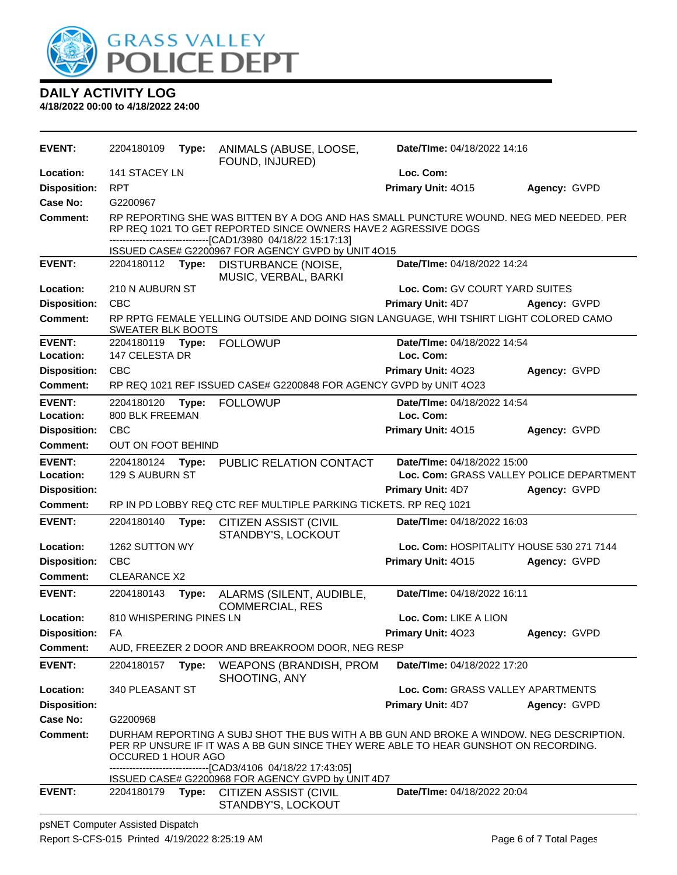

| <b>EVENT:</b>                          | 2204180109                                                                                                                                                                                                                                                        | Type: | ANIMALS (ABUSE, LOOSE,<br>FOUND, INJURED)                                                                                                                                                                                                                        | Date/TIme: 04/18/2022 14:16              |              |
|----------------------------------------|-------------------------------------------------------------------------------------------------------------------------------------------------------------------------------------------------------------------------------------------------------------------|-------|------------------------------------------------------------------------------------------------------------------------------------------------------------------------------------------------------------------------------------------------------------------|------------------------------------------|--------------|
| Location:                              | 141 STACEY LN                                                                                                                                                                                                                                                     |       |                                                                                                                                                                                                                                                                  | Loc. Com:                                |              |
| <b>Disposition:</b>                    | <b>RPT</b>                                                                                                                                                                                                                                                        |       |                                                                                                                                                                                                                                                                  | Primary Unit: 4015                       | Agency: GVPD |
| Case No:                               | G2200967                                                                                                                                                                                                                                                          |       |                                                                                                                                                                                                                                                                  |                                          |              |
| <b>Comment:</b>                        |                                                                                                                                                                                                                                                                   |       | RP REPORTING SHE WAS BITTEN BY A DOG AND HAS SMALL PUNCTURE WOUND. NEG MED NEEDED. PER<br>RP REQ 1021 TO GET REPORTED SINCE OWNERS HAVE 2 AGRESSIVE DOGS<br>-----------------[CAD1/3980_04/18/22_15:17:13]<br>ISSUED CASE# G2200967 FOR AGENCY GVPD by UNIT 4O15 |                                          |              |
| <b>EVENT:</b>                          | 2204180112 <b>Type:</b>                                                                                                                                                                                                                                           |       | DISTURBANCE (NOISE,<br>MUSIC, VERBAL, BARKI                                                                                                                                                                                                                      | Date/TIme: 04/18/2022 14:24              |              |
| Location:                              | 210 N AUBURN ST                                                                                                                                                                                                                                                   |       |                                                                                                                                                                                                                                                                  | Loc. Com: GV COURT YARD SUITES           |              |
| <b>Disposition:</b>                    | <b>CBC</b>                                                                                                                                                                                                                                                        |       |                                                                                                                                                                                                                                                                  | Primary Unit: 4D7                        | Agency: GVPD |
| <b>Comment:</b>                        | SWEATER BLK BOOTS                                                                                                                                                                                                                                                 |       | RP RPTG FEMALE YELLING OUTSIDE AND DOING SIGN LANGUAGE, WHI TSHIRT LIGHT COLORED CAMO                                                                                                                                                                            |                                          |              |
| <b>EVENT:</b>                          | 2204180119                                                                                                                                                                                                                                                        | Type: | <b>FOLLOWUP</b>                                                                                                                                                                                                                                                  | Date/TIme: 04/18/2022 14:54              |              |
| Location:                              | 147 CELESTA DR                                                                                                                                                                                                                                                    |       |                                                                                                                                                                                                                                                                  | Loc. Com:                                |              |
| <b>Disposition:</b>                    | <b>CBC</b>                                                                                                                                                                                                                                                        |       |                                                                                                                                                                                                                                                                  | Primary Unit: 4023                       | Agency: GVPD |
| Comment:                               |                                                                                                                                                                                                                                                                   |       | RP REQ 1021 REF ISSUED CASE# G2200848 FOR AGENCY GVPD by UNIT 4O23                                                                                                                                                                                               |                                          |              |
| <b>EVENT:</b>                          | 2204180120 Type:                                                                                                                                                                                                                                                  |       | <b>FOLLOWUP</b>                                                                                                                                                                                                                                                  | Date/TIme: 04/18/2022 14:54              |              |
| Location:                              | 800 BLK FREEMAN                                                                                                                                                                                                                                                   |       |                                                                                                                                                                                                                                                                  | Loc. Com:                                |              |
| <b>Disposition:</b>                    | <b>CBC</b>                                                                                                                                                                                                                                                        |       |                                                                                                                                                                                                                                                                  | Primary Unit: 4015                       | Agency: GVPD |
| <b>Comment:</b>                        | OUT ON FOOT BEHIND                                                                                                                                                                                                                                                |       |                                                                                                                                                                                                                                                                  |                                          |              |
| <b>EVENT:</b>                          | 2204180124                                                                                                                                                                                                                                                        | Type: | PUBLIC RELATION CONTACT                                                                                                                                                                                                                                          | Date/TIme: 04/18/2022 15:00              |              |
| Location:                              | 129 S AUBURN ST                                                                                                                                                                                                                                                   |       |                                                                                                                                                                                                                                                                  | Loc. Com: GRASS VALLEY POLICE DEPARTMENT |              |
| <b>Disposition:</b><br><b>Comment:</b> |                                                                                                                                                                                                                                                                   |       | RP IN PD LOBBY REQ CTC REF MULTIPLE PARKING TICKETS. RP REQ 1021                                                                                                                                                                                                 | <b>Primary Unit: 4D7</b>                 | Agency: GVPD |
|                                        |                                                                                                                                                                                                                                                                   |       |                                                                                                                                                                                                                                                                  |                                          |              |
| <b>EVENT:</b>                          | 2204180140                                                                                                                                                                                                                                                        | Type: | <b>CITIZEN ASSIST (CIVIL</b><br>STANDBY'S, LOCKOUT                                                                                                                                                                                                               | Date/TIme: 04/18/2022 16:03              |              |
| Location:                              | 1262 SUTTON WY                                                                                                                                                                                                                                                    |       |                                                                                                                                                                                                                                                                  | Loc. Com: HOSPITALITY HOUSE 530 271 7144 |              |
| <b>Disposition:</b>                    | <b>CBC</b>                                                                                                                                                                                                                                                        |       |                                                                                                                                                                                                                                                                  | Primary Unit: 4015                       | Agency: GVPD |
| <b>Comment:</b>                        | <b>CLEARANCE X2</b>                                                                                                                                                                                                                                               |       |                                                                                                                                                                                                                                                                  |                                          |              |
| <b>EVENT:</b>                          | 2204180143                                                                                                                                                                                                                                                        | Type: | ALARMS (SILENT, AUDIBLE,<br><b>COMMERCIAL, RES</b>                                                                                                                                                                                                               | Date/TIme: 04/18/2022 16:11              |              |
| Location:                              | 810 WHISPERING PINES LN                                                                                                                                                                                                                                           |       |                                                                                                                                                                                                                                                                  | Loc. Com: LIKE A LION                    |              |
| Disposition: FA                        |                                                                                                                                                                                                                                                                   |       |                                                                                                                                                                                                                                                                  | Primary Unit: 4023                       | Agency: GVPD |
| Comment:                               |                                                                                                                                                                                                                                                                   |       | AUD, FREEZER 2 DOOR AND BREAKROOM DOOR, NEG RESP                                                                                                                                                                                                                 |                                          |              |
| <b>EVENT:</b>                          | 2204180157                                                                                                                                                                                                                                                        | Type: | <b>WEAPONS (BRANDISH, PROM</b><br>SHOOTING, ANY                                                                                                                                                                                                                  | Date/TIme: 04/18/2022 17:20              |              |
| Location:                              | 340 PLEASANT ST                                                                                                                                                                                                                                                   |       |                                                                                                                                                                                                                                                                  | Loc. Com: GRASS VALLEY APARTMENTS        |              |
| <b>Disposition:</b>                    |                                                                                                                                                                                                                                                                   |       |                                                                                                                                                                                                                                                                  | <b>Primary Unit: 4D7</b>                 | Agency: GVPD |
| Case No:                               | G2200968                                                                                                                                                                                                                                                          |       |                                                                                                                                                                                                                                                                  |                                          |              |
| <b>Comment:</b>                        | DURHAM REPORTING A SUBJ SHOT THE BUS WITH A BB GUN AND BROKE A WINDOW. NEG DESCRIPTION.<br>PER RP UNSURE IF IT WAS A BB GUN SINCE THEY WERE ABLE TO HEAR GUNSHOT ON RECORDING.<br>OCCURED 1 HOUR AGO<br>----------------------------[CAD3/4106_04/18/22 17:43:05] |       |                                                                                                                                                                                                                                                                  |                                          |              |
|                                        | ISSUED CASE# G2200968 FOR AGENCY GVPD by UNIT 4D7                                                                                                                                                                                                                 |       |                                                                                                                                                                                                                                                                  |                                          |              |
| <b>EVENT:</b>                          | 2204180179                                                                                                                                                                                                                                                        | Type: | <b>CITIZEN ASSIST (CIVIL</b><br>STANDBY'S, LOCKOUT                                                                                                                                                                                                               | Date/TIme: 04/18/2022 20:04              |              |